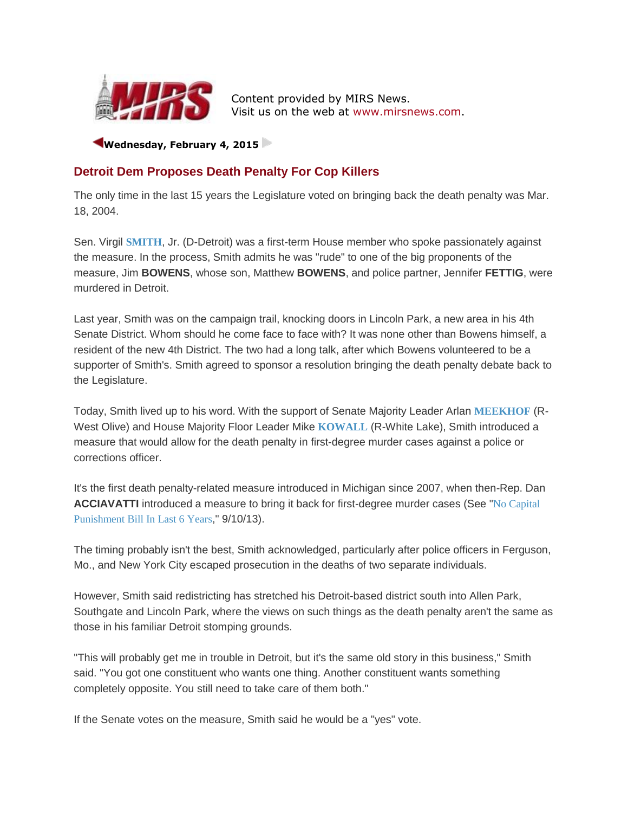

Content provided by MIRS News. Visit us on the web at [www.mirsnews.com.](http://www.mirsnews.com/)

**Wednesday, February 4, 2015** 

## **Detroit Dem Proposes Death Penalty For Cop Killers**

The only time in the last 15 years the Legislature voted on bringing back the death penalty was Mar. 18, 2004.

Sen. Virgil **[SMITH](http://www.mirsnews.com/leg_bio.php?lid=465)**, Jr. (D-Detroit) was a first-term House member who spoke passionately against the measure. In the process, Smith admits he was "rude" to one of the big proponents of the measure, Jim **BOWENS**, whose son, Matthew **BOWENS**, and police partner, Jennifer **FETTIG**, were murdered in Detroit.

Last year, Smith was on the campaign trail, knocking doors in Lincoln Park, a new area in his 4th Senate District. Whom should he come face to face with? It was none other than Bowens himself, a resident of the new 4th District. The two had a long talk, after which Bowens volunteered to be a supporter of Smith's. Smith agreed to sponsor a resolution bringing the death penalty debate back to the Legislature.

Today, Smith lived up to his word. With the support of Senate Majority Leader Arlan **[MEEKHOF](http://www.mirsnews.com/leg_bio.php?lid=446)** (R-West Olive) and House Majority Floor Leader Mike **[KOWALL](http://www.mirsnews.com/leg_bio.php?lid=442)** (R-White Lake), Smith introduced a measure that would allow for the death penalty in first-degree murder cases against a police or corrections officer.

It's the first death penalty-related measure introduced in Michigan since 2007, when then-Rep. Dan **ACCIAVATTI** introduced a measure to bring it back for first-degree murder cases (See "[No Capital](http://www.mirsnews.com/capsule.php?gid=4165#36784)  [Punishment Bill In Last 6 Years](http://www.mirsnews.com/capsule.php?gid=4165#36784)," 9/10/13).

The timing probably isn't the best, Smith acknowledged, particularly after police officers in Ferguson, Mo., and New York City escaped prosecution in the deaths of two separate individuals.

However, Smith said redistricting has stretched his Detroit-based district south into Allen Park, Southgate and Lincoln Park, where the views on such things as the death penalty aren't the same as those in his familiar Detroit stomping grounds.

"This will probably get me in trouble in Detroit, but it's the same old story in this business," Smith said. "You got one constituent who wants one thing. Another constituent wants something completely opposite. You still need to take care of them both."

If the Senate votes on the measure, Smith said he would be a "yes" vote.